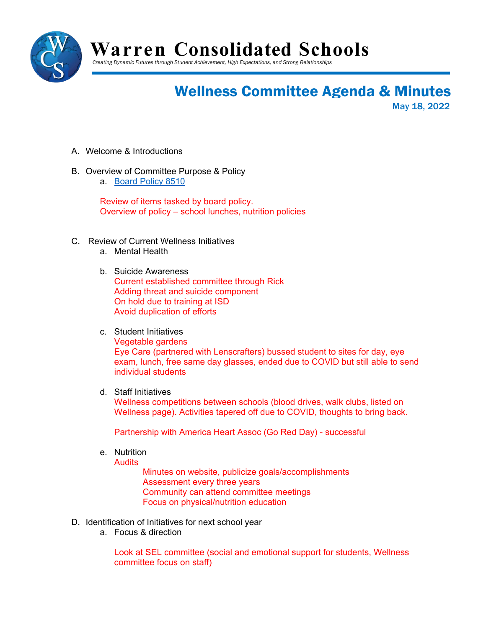

**Warren Consolidated Schools**

*Creating Dynamic Futures through Student Achievement, High Expectations, and Strong Relationships*

## Wellness Committee Agenda & Minutes

May 18, 2022

- A. Welcome & Introductions
- B. Overview of Committee Purpose & Policy
	- a. [Board Policy 8510](http://go.boarddocs.com/mi/warcon/Board.nsf/goto?open&id=C3YQVL6787C1)

Review of items tasked by board policy. Overview of policy – school lunches, nutrition policies

- C. Review of Current Wellness Initiatives
	- a. Mental Health
	- b. Suicide Awareness Current established committee through Rick Adding threat and suicide component On hold due to training at ISD Avoid duplication of efforts
	- c. Student Initiatives

Vegetable gardens Eye Care (partnered with Lenscrafters) bussed student to sites for day, eye exam, lunch, free same day glasses, ended due to COVID but still able to send individual students

d. Staff Initiatives

Wellness competitions between schools (blood drives, walk clubs, listed on Wellness page). Activities tapered off due to COVID, thoughts to bring back.

Partnership with America Heart Assoc (Go Red Day) - successful

e. Nutrition

**Audits** 

Minutes on website, publicize goals/accomplishments Assessment every three years Community can attend committee meetings Focus on physical/nutrition education

- D. Identification of Initiatives for next school year
	- a. Focus & direction

Look at SEL committee (social and emotional support for students, Wellness committee focus on staff)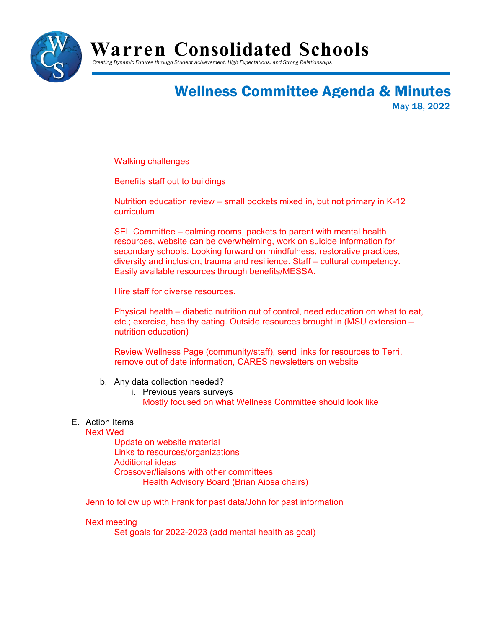

### **Warren Consolidated Schools**

*Creating Dynamic Futures through Student Achievement, High Expectations, and Strong Relationships*

# Wellness Committee Agenda & Minutes

May 18, 2022

Walking challenges

Benefits staff out to buildings

Nutrition education review – small pockets mixed in, but not primary in K-12 curriculum

SEL Committee – calming rooms, packets to parent with mental health resources, website can be overwhelming, work on suicide information for secondary schools. Looking forward on mindfulness, restorative practices, diversity and inclusion, trauma and resilience. Staff – cultural competency. Easily available resources through benefits/MESSA.

Hire staff for diverse resources.

Physical health – diabetic nutrition out of control, need education on what to eat, etc.; exercise, healthy eating. Outside resources brought in (MSU extension – nutrition education)

Review Wellness Page (community/staff), send links for resources to Terri, remove out of date information, CARES newsletters on website

- b. Any data collection needed?
	- i. Previous years surveys
		- Mostly focused on what Wellness Committee should look like

#### E. Action Items

#### Next Wed

Update on website material Links to resources/organizations Additional ideas Crossover/liaisons with other committees Health Advisory Board (Brian Aiosa chairs)

Jenn to follow up with Frank for past data/John for past information

#### Next meeting

Set goals for 2022-2023 (add mental health as goal)